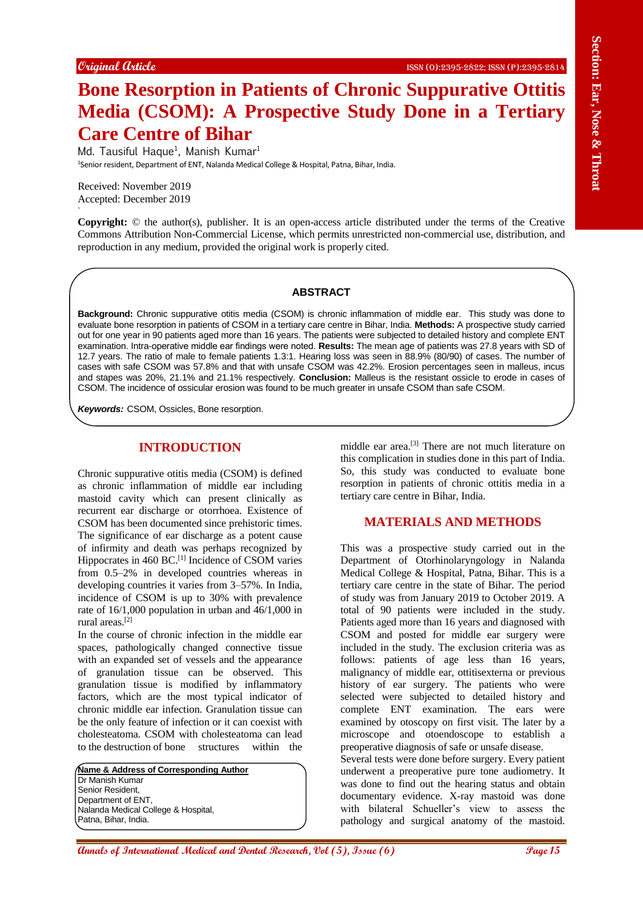# **Bone Resorption in Patients of Chronic Suppurative Ottitis Media (CSOM): A Prospective Study Done in a Tertiary Care Centre of Bihar**

Md. Tausiful Haque<sup>1</sup>, Manish Kumar<sup>1</sup> <sup>1</sup>Senior resident, Department of ENT, Nalanda Medical College & Hospital, Patna, Bihar, India.

Received: November 2019 Accepted: December 2019

`

**Copyright:** © the author(s), publisher. It is an open-access article distributed under the terms of the Creative Commons Attribution Non-Commercial License, which permits unrestricted non-commercial use, distribution, and reproduction in any medium, provided the original work is properly cited.

#### **ABSTRACT**

**Background:** Chronic suppurative otitis media (CSOM) is chronic inflammation of middle ear. This study was done to evaluate bone resorption in patients of CSOM in a tertiary care centre in Bihar, India. **Methods:** A prospective study carried out for one year in 90 patients aged more than 16 years. The patients were subjected to detailed history and complete ENT examination. Intra-operative middle ear findings were noted. **Results:** The mean age of patients was 27.8 years with SD of 12.7 years. The ratio of male to female patients 1.3:1. Hearing loss was seen in 88.9% (80/90) of cases. The number of cases with safe CSOM was 57.8% and that with unsafe CSOM was 42.2%. Erosion percentages seen in malleus, incus and stapes was 20%, 21.1% and 21.1% respectively. **Conclusion:** Malleus is the resistant ossicle to erode in cases of CSOM. The incidence of ossicular erosion was found to be much greater in unsafe CSOM than safe CSOM.

*Keywords:* CSOM, Ossicles, Bone resorption.

### **INTRODUCTION**

Chronic suppurative otitis media (CSOM) is defined as chronic inflammation of middle ear including mastoid cavity which can present clinically as recurrent ear discharge or otorrhoea. Existence of CSOM has been documented since prehistoric times. The significance of ear discharge as a potent cause of infirmity and death was perhaps recognized by Hippocrates in 460 BC.<sup>[1]</sup> Incidence of CSOM varies from 0.5–2% in developed countries whereas in developing countries it varies from 3–57%. In India, incidence of CSOM is up to 30% with prevalence rate of 16/1,000 population in urban and 46/1,000 in rural areas.[2]

In the course of chronic infection in the middle ear spaces, pathologically changed connective tissue with an expanded set of vessels and the appearance of granulation tissue can be observed. This granulation tissue is modified by inflammatory factors, which are the most typical indicator of chronic middle ear infection. Granulation tissue can be the only feature of infection or it can coexist with cholesteatoma. CSOM with cholesteatoma can lead to the destruction of bone structures within the

**Name & Address of Corresponding Author** Dr Manish Kumar Senior Resident, Department of ENT, Nalanda Medical College & Hospital, Patna, Bihar, India.

middle ear area.[3] There are not much literature on this complication in studies done in this part of India. So, this study was conducted to evaluate bone resorption in patients of chronic ottitis media in a tertiary care centre in Bihar, India.

### **MATERIALS AND METHODS**

Comparis (Eng.) **Annals of International Medical Annals of Christian Comparison and Territory Christian CSOM Comparison and Territory Christian Comparison and Dental Research (Figure 2011) <b>A**  $\mu$  and Territory Christian This was a prospective study carried out in the Department of Otorhinolaryngology in Nalanda Medical College & Hospital, Patna, Bihar. This is a tertiary care centre in the state of Bihar. The period of study was from January 2019 to October 2019. A total of 90 patients were included in the study. Patients aged more than 16 years and diagnosed with CSOM and posted for middle ear surgery were included in the study. The exclusion criteria was as follows: patients of age less than 16 years, malignancy of middle ear, ottitisexterna or previous history of ear surgery. The patients who were selected were subjected to detailed history and complete ENT examination. The ears were examined by otoscopy on first visit. The later by a microscope and otoendoscope to establish a preoperative diagnosis of safe or unsafe disease. Several tests were done before surgery. Every patient underwent a preoperative pure tone audiometry. It was done to find out the hearing status and obtain documentary evidence. X-ray mastoid was done with bilateral Schueller's view to assess the

pathology and surgical anatomy of the mastoid.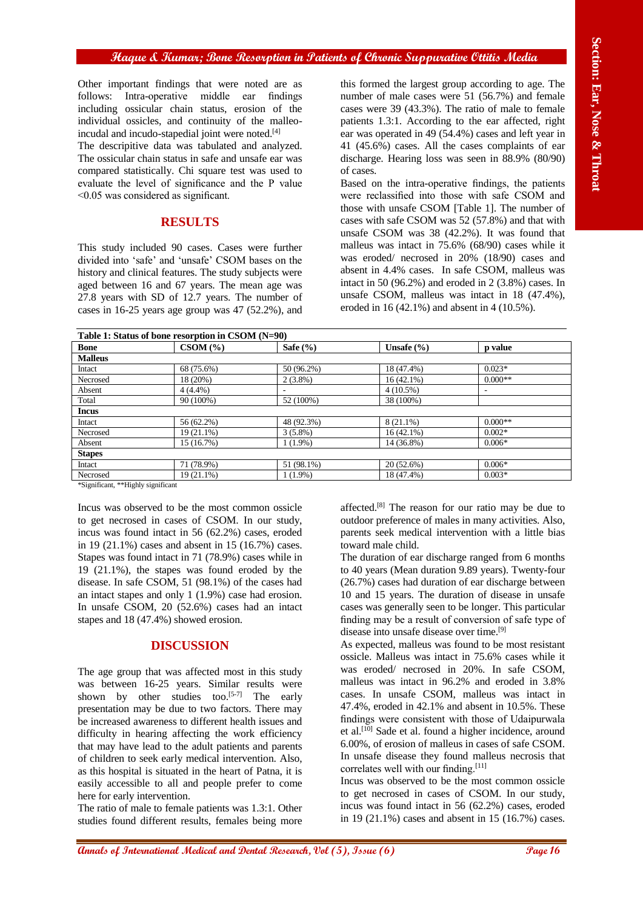### **Haque & Kumar; Bone Resorption in Patients of Chronic Suppurative Ottitis Media**

## **RESULTS**

| Other important findings that were noted are as<br>Intra-operative<br>middle<br>follows:<br>ear<br>findings<br>including ossicular chain status, erosion of the<br>individual ossicles, and continuity of the malleo-<br>incudal and incudo-stapedial joint were noted. <sup>[4]</sup><br>The descripitive data was tabulated and analyzed.<br>The ossicular chain status in safe and unsafe ear was<br>compared statistically. Chi square test was used to<br>evaluate the level of significance and the P value<br>$<$ 0.05 was considered as significant.<br><b>RESULTS</b><br>This study included 90 cases. Cases were further<br>divided into 'safe' and 'unsafe' CSOM bases on the |                                                                                                                                                                                                                                                                                                                                                                                                                                                                                                                                                                                                                                                                            |                                        | this formed the largest group according to age. The<br>number of male cases were 51 (56.7%) and female<br>cases were 39 (43.3%). The ratio of male to female<br>patients 1.3:1. According to the ear affected, right<br>ear was operated in 49 (54.4%) cases and left year in<br>41 (45.6%) cases. All the cases complaints of ear<br>discharge. Hearing loss was seen in 88.9% (80/90)<br>of cases.<br>Based on the intra-operative findings, the patients<br>were reclassified into those with safe CSOM and<br>those with unsafe CSOM [Table 1]. The number of<br>cases with safe CSOM was 52 (57.8%) and that with<br>unsafe CSOM was 38 (42.2%). It was found that<br>malleus was intact in $75.6\%$ (68/90) cases while it<br>was eroded/ necrosed in 20% (18/90) cases and |                       |
|------------------------------------------------------------------------------------------------------------------------------------------------------------------------------------------------------------------------------------------------------------------------------------------------------------------------------------------------------------------------------------------------------------------------------------------------------------------------------------------------------------------------------------------------------------------------------------------------------------------------------------------------------------------------------------------|----------------------------------------------------------------------------------------------------------------------------------------------------------------------------------------------------------------------------------------------------------------------------------------------------------------------------------------------------------------------------------------------------------------------------------------------------------------------------------------------------------------------------------------------------------------------------------------------------------------------------------------------------------------------------|----------------------------------------|-----------------------------------------------------------------------------------------------------------------------------------------------------------------------------------------------------------------------------------------------------------------------------------------------------------------------------------------------------------------------------------------------------------------------------------------------------------------------------------------------------------------------------------------------------------------------------------------------------------------------------------------------------------------------------------------------------------------------------------------------------------------------------------|-----------------------|
|                                                                                                                                                                                                                                                                                                                                                                                                                                                                                                                                                                                                                                                                                          |                                                                                                                                                                                                                                                                                                                                                                                                                                                                                                                                                                                                                                                                            |                                        |                                                                                                                                                                                                                                                                                                                                                                                                                                                                                                                                                                                                                                                                                                                                                                                   |                       |
| <b>Bone</b>                                                                                                                                                                                                                                                                                                                                                                                                                                                                                                                                                                                                                                                                              | Table 1: Status of bone resorption in CSOM (N=90)<br>CSOM(%)                                                                                                                                                                                                                                                                                                                                                                                                                                                                                                                                                                                                               | Safe (%)                               | Unsafe (%)                                                                                                                                                                                                                                                                                                                                                                                                                                                                                                                                                                                                                                                                                                                                                                        | p value               |
| <b>Malleus</b>                                                                                                                                                                                                                                                                                                                                                                                                                                                                                                                                                                                                                                                                           |                                                                                                                                                                                                                                                                                                                                                                                                                                                                                                                                                                                                                                                                            |                                        |                                                                                                                                                                                                                                                                                                                                                                                                                                                                                                                                                                                                                                                                                                                                                                                   |                       |
| Intact<br>Necrosed                                                                                                                                                                                                                                                                                                                                                                                                                                                                                                                                                                                                                                                                       | 68 (75.6%)<br>18 (20%)                                                                                                                                                                                                                                                                                                                                                                                                                                                                                                                                                                                                                                                     | 50 (96.2%)                             | 18 (47.4%)<br>16(42.1%)                                                                                                                                                                                                                                                                                                                                                                                                                                                                                                                                                                                                                                                                                                                                                           | $0.023*$<br>$0.000**$ |
| Absent                                                                                                                                                                                                                                                                                                                                                                                                                                                                                                                                                                                                                                                                                   | 4(4.4%)                                                                                                                                                                                                                                                                                                                                                                                                                                                                                                                                                                                                                                                                    | $2(3.8\%)$<br>$\overline{\phantom{a}}$ | $4(10.5\%)$                                                                                                                                                                                                                                                                                                                                                                                                                                                                                                                                                                                                                                                                                                                                                                       | $\blacksquare$        |
| Total                                                                                                                                                                                                                                                                                                                                                                                                                                                                                                                                                                                                                                                                                    | 90(100%)                                                                                                                                                                                                                                                                                                                                                                                                                                                                                                                                                                                                                                                                   | 52 (100%)                              | 38 (100%)                                                                                                                                                                                                                                                                                                                                                                                                                                                                                                                                                                                                                                                                                                                                                                         |                       |
| <b>Incus</b>                                                                                                                                                                                                                                                                                                                                                                                                                                                                                                                                                                                                                                                                             |                                                                                                                                                                                                                                                                                                                                                                                                                                                                                                                                                                                                                                                                            |                                        |                                                                                                                                                                                                                                                                                                                                                                                                                                                                                                                                                                                                                                                                                                                                                                                   |                       |
| Intact<br>Necrosed                                                                                                                                                                                                                                                                                                                                                                                                                                                                                                                                                                                                                                                                       | 56 (62.2%)<br>19 (21.1%)                                                                                                                                                                                                                                                                                                                                                                                                                                                                                                                                                                                                                                                   | 48 (92.3%)<br>$3(5.8\%)$               | $8(21.1\%)$<br>16(42.1%)                                                                                                                                                                                                                                                                                                                                                                                                                                                                                                                                                                                                                                                                                                                                                          | $0.000**$<br>$0.002*$ |
| Absent                                                                                                                                                                                                                                                                                                                                                                                                                                                                                                                                                                                                                                                                                   | 15 (16.7%)                                                                                                                                                                                                                                                                                                                                                                                                                                                                                                                                                                                                                                                                 | $1(1.9\%)$                             | 14 (36.8%)                                                                                                                                                                                                                                                                                                                                                                                                                                                                                                                                                                                                                                                                                                                                                                        | $0.006*$              |
| <b>Stapes</b>                                                                                                                                                                                                                                                                                                                                                                                                                                                                                                                                                                                                                                                                            |                                                                                                                                                                                                                                                                                                                                                                                                                                                                                                                                                                                                                                                                            |                                        |                                                                                                                                                                                                                                                                                                                                                                                                                                                                                                                                                                                                                                                                                                                                                                                   |                       |
| Intact<br>Necrosed                                                                                                                                                                                                                                                                                                                                                                                                                                                                                                                                                                                                                                                                       | 71 (78.9%)<br>$19(21.1\%)$                                                                                                                                                                                                                                                                                                                                                                                                                                                                                                                                                                                                                                                 | 51 (98.1%)<br>$1(1.9\%)$               | 20 (52.6%)<br>18 (47.4%)                                                                                                                                                                                                                                                                                                                                                                                                                                                                                                                                                                                                                                                                                                                                                          | $0.006*$<br>$0.003*$  |
| Incus was observed to be the most common ossicle<br>to get necrosed in cases of CSOM. In our study,<br>incus was found intact in 56 (62.2%) cases, eroded<br>in 19 $(21.1\%)$ cases and absent in 15 $(16.7\%)$ cases.<br>Stapes was found intact in 71 (78.9%) cases while in<br>19 (21.1%), the stapes was found eroded by the<br>disease. In safe CSOM, 51 (98.1%) of the cases had<br>an intact stapes and only $1$ (1.9%) case had erosion.<br>In unsafe CSOM, $20$ (52.6%) cases had an intact<br>stapes and 18 (47.4%) showed erosion.                                                                                                                                            |                                                                                                                                                                                                                                                                                                                                                                                                                                                                                                                                                                                                                                                                            |                                        | affected. <sup>[8]</sup> The reason for our ratio may be due to<br>outdoor preference of males in many activities. Also,<br>parents seek medical intervention with a little bias<br>toward male child.<br>The duration of ear discharge ranged from 6 months<br>to 40 years (Mean duration 9.89 years). Twenty-four<br>(26.7%) cases had duration of ear discharge between<br>10 and 15 years. The duration of disease in unsafe<br>cases was generally seen to be longer. This particular<br>finding may be a result of conversion of safe type of<br>disease into unsafe disease over time. <sup>[9]</sup>                                                                                                                                                                      |                       |
|                                                                                                                                                                                                                                                                                                                                                                                                                                                                                                                                                                                                                                                                                          |                                                                                                                                                                                                                                                                                                                                                                                                                                                                                                                                                                                                                                                                            |                                        |                                                                                                                                                                                                                                                                                                                                                                                                                                                                                                                                                                                                                                                                                                                                                                                   |                       |
|                                                                                                                                                                                                                                                                                                                                                                                                                                                                                                                                                                                                                                                                                          | <b>DISCUSSION</b>                                                                                                                                                                                                                                                                                                                                                                                                                                                                                                                                                                                                                                                          |                                        | As expected, malleus was found to be most resistant<br>ossicle. Malleus was intact in 75.6% cases while it                                                                                                                                                                                                                                                                                                                                                                                                                                                                                                                                                                                                                                                                        |                       |
| here for early intervention.                                                                                                                                                                                                                                                                                                                                                                                                                                                                                                                                                                                                                                                             | The age group that was affected most in this study<br>was between 16-25 years. Similar results were<br>shown by other studies too.[5-7] The early<br>presentation may be due to two factors. There may<br>be increased awareness to different health issues and<br>difficulty in hearing affecting the work efficiency<br>that may have lead to the adult patients and parents<br>of children to seek early medical intervention. Also,<br>as this hospital is situated in the heart of Patna, it is<br>easily accessible to all and people prefer to come<br>The ratio of male to female patients was 1.3:1. Other<br>studies found different results, females being more |                                        | was eroded/ necrosed in 20%. In safe CSOM,<br>malleus was intact in 96.2% and eroded in 3.8%<br>cases. In unsafe CSOM, malleus was intact in<br>47.4%, eroded in 42.1% and absent in 10.5%. These<br>findings were consistent with those of Udaipurwala<br>et al. <sup>[10]</sup> Sade et al. found a higher incidence, around<br>6.00%, of erosion of malleus in cases of safe CSOM.<br>In unsafe disease they found malleus necrosis that<br>correlates well with our finding. <sup>[11]</sup><br>Incus was observed to be the most common ossicle<br>to get necrosed in cases of CSOM. In our study,<br>incus was found intact in 56 (62.2%) cases, eroded<br>in 19 $(21.1\%)$ cases and absent in 15 $(16.7\%)$ cases.                                                        |                       |

# **DISCUSSION**